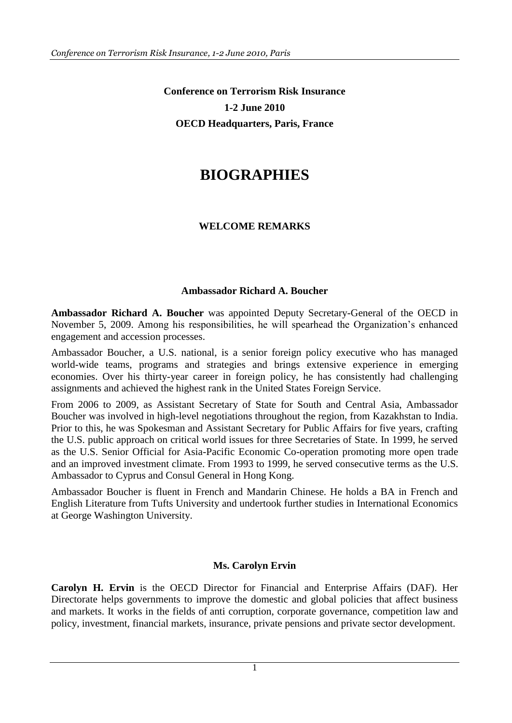**Conference on Terrorism Risk Insurance 1-2 June 2010 OECD Headquarters, Paris, France**

# **BIOGRAPHIES**

#### **WELCOME REMARKS**

#### **Ambassador Richard A. Boucher**

**Ambassador Richard A. Boucher** was appointed Deputy Secretary-General of the OECD in November 5, 2009. Among his responsibilities, he will spearhead the Organization"s enhanced engagement and accession processes.

Ambassador Boucher, a U.S. national, is a senior foreign policy executive who has managed world-wide teams, programs and strategies and brings extensive experience in emerging economies. Over his thirty-year career in foreign policy, he has consistently had challenging assignments and achieved the highest rank in the United States Foreign Service.

From 2006 to 2009, as Assistant Secretary of State for South and Central Asia, Ambassador Boucher was involved in high-level negotiations throughout the region, from Kazakhstan to India. Prior to this, he was Spokesman and Assistant Secretary for Public Affairs for five years, crafting the U.S. public approach on critical world issues for three Secretaries of State. In 1999, he served as the U.S. Senior Official for Asia-Pacific Economic Co-operation promoting more open trade and an improved investment climate. From 1993 to 1999, he served consecutive terms as the U.S. Ambassador to Cyprus and Consul General in Hong Kong.

Ambassador Boucher is fluent in French and Mandarin Chinese. He holds a BA in French and English Literature from Tufts University and undertook further studies in International Economics at George Washington University.

#### **Ms. Carolyn Ervin**

**Carolyn H. Ervin** is the OECD Director for Financial and Enterprise Affairs (DAF). Her Directorate helps governments to improve the domestic and global policies that affect business and markets. It works in the fields of [anti corruption,](http://www.oecd.org/department/0,3355,en_2649_34855_1_1_1_1_1,00.html) [corporate governance,](http://www.oecd.org/department/0,3355,en_2649_34795_1_1_1_1_1,00.html) [competition law and](http://www.oecd.org/department/0,3355,en_2649_34685_1_1_1_1_1,00.html)  [policy,](http://www.oecd.org/department/0,3355,en_2649_34685_1_1_1_1_1,00.html) [investment,](http://www.oecd.org/department/0,3355,en_2649_34863_1_1_1_1_1,00.html) [financial markets,](http://www.oecd.org/department/0,3355,en_2649_33761_1_1_1_1_1,00.html) [insurance,](http://www.oecd.org/department/0,3355,en_2649_34851_1_1_1_1_1,00.html) [private pensions](http://www.oecd.org/department/0,3355,en_2649_34853_1_1_1_1_1,00.html) and [private sector development.](http://www.oecd.org/department/0,3355,en_2649_40340912_1_1_1_1_1,00.html)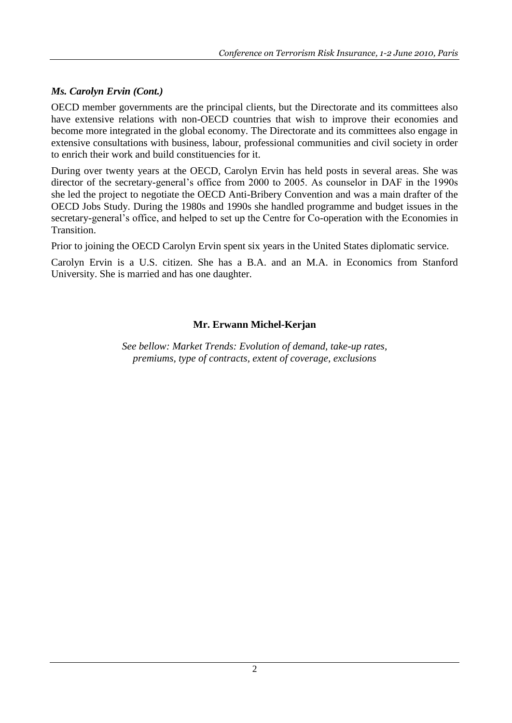### *Ms. Carolyn Ervin (Cont.)*

OECD member governments are the principal clients, but the Directorate and its committees also have extensive relations with non-OECD countries that wish to improve their economies and become more integrated in the global economy. The Directorate and its committees also engage in extensive consultations with business, labour, professional communities and civil society in order to enrich their work and build constituencies for it.

During over twenty years at the OECD, Carolyn Ervin has held posts in several areas. She was director of the secretary-general's office from 2000 to 2005. As counselor in DAF in the 1990s she led the project to negotiate the OECD Anti-Bribery Convention and was a main drafter of the OECD Jobs Study. During the 1980s and 1990s she handled programme and budget issues in the secretary-general's office, and helped to set up the Centre for Co-operation with the Economies in Transition.

Prior to joining the OECD Carolyn Ervin spent six years in the United States diplomatic service.

Carolyn Ervin is a U.S. citizen. She has a B.A. and an M.A. in Economics from Stanford University. She is married and has one daughter.

### **Mr. Erwann Michel-Kerjan**

*See bellow: Market Trends: Evolution of demand, take-up rates, premiums, type of contracts, extent of coverage, exclusions*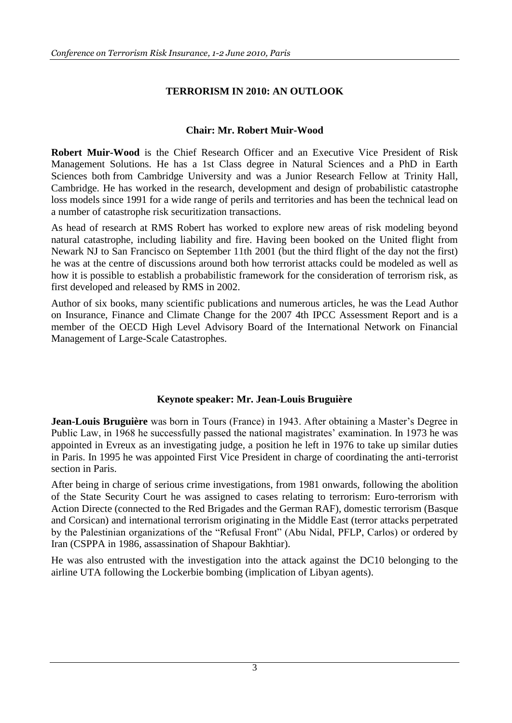### **TERRORISM IN 2010: AN OUTLOOK**

#### **Chair: Mr. Robert Muir-Wood**

**Robert Muir-Wood** is the Chief Research Officer and an Executive Vice President of Risk Management Solutions. He has a 1st Class degree in Natural Sciences and a PhD in Earth Sciences both from Cambridge University and was a Junior Research Fellow at Trinity Hall, Cambridge. He has worked in the research, development and design of probabilistic catastrophe loss models since 1991 for a wide range of perils and territories and has been the technical lead on a number of catastrophe risk securitization transactions.

As head of research at RMS Robert has worked to explore new areas of risk modeling beyond natural catastrophe, including liability and fire. Having been booked on the United flight from Newark NJ to San Francisco on September 11th 2001 (but the third flight of the day not the first) he was at the centre of discussions around both how terrorist attacks could be modeled as well as how it is possible to establish a probabilistic framework for the consideration of terrorism risk, as first developed and released by RMS in 2002.

Author of six books, many scientific publications and numerous articles, he was the Lead Author on Insurance, Finance and Climate Change for the 2007 4th IPCC Assessment Report and is a member of the OECD High Level Advisory Board of the International Network on Financial Management of Large-Scale Catastrophes.

#### **Keynote speaker: Mr. Jean-Louis Bruguière**

**Jean-Louis Bruguière** was born in Tours (France) in 1943. After obtaining a Master's Degree in Public Law, in 1968 he successfully passed the national magistrates' examination. In 1973 he was appointed in Evreux as an investigating judge, a position he left in 1976 to take up similar duties in Paris. In 1995 he was appointed First Vice President in charge of coordinating the anti-terrorist section in Paris.

After being in charge of serious crime investigations, from 1981 onwards, following the abolition of the State Security Court he was assigned to cases relating to terrorism: Euro-terrorism with Action Directe (connected to the Red Brigades and the German RAF), domestic terrorism (Basque and Corsican) and international terrorism originating in the Middle East (terror attacks perpetrated by the Palestinian organizations of the "Refusal Front" (Abu Nidal, PFLP, Carlos) or ordered by Iran (CSPPA in 1986, assassination of Shapour Bakhtiar).

He was also entrusted with the investigation into the attack against the DC10 belonging to the airline UTA following the Lockerbie bombing (implication of Libyan agents).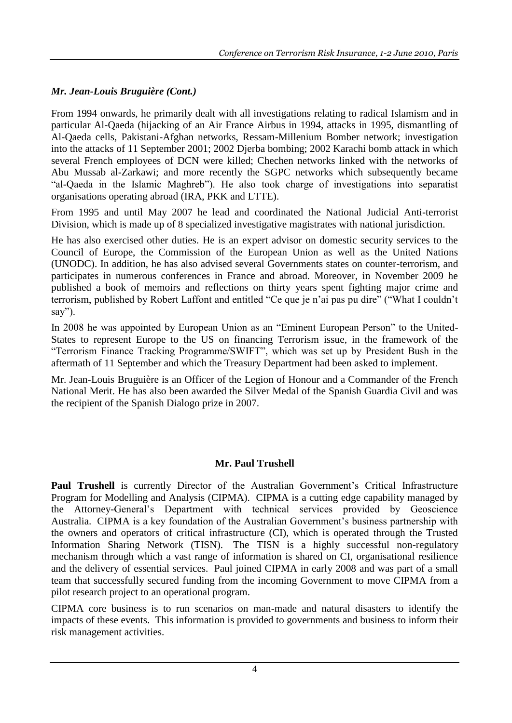# *Mr. Jean-Louis Bruguière (Cont.)*

From 1994 onwards, he primarily dealt with all investigations relating to radical Islamism and in particular Al-Qaeda (hijacking of an Air France Airbus in 1994, attacks in 1995, dismantling of Al-Qaeda cells, Pakistani-Afghan networks, Ressam-Millenium Bomber network; investigation into the attacks of 11 September 2001; 2002 Djerba bombing; 2002 Karachi bomb attack in which several French employees of DCN were killed; Chechen networks linked with the networks of Abu Mussab al-Zarkawi; and more recently the SGPC networks which subsequently became "al-Qaeda in the Islamic Maghreb"). He also took charge of investigations into separatist organisations operating abroad (IRA, PKK and LTTE).

From 1995 and until May 2007 he lead and coordinated the National Judicial Anti-terrorist Division, which is made up of 8 specialized investigative magistrates with national jurisdiction.

He has also exercised other duties. He is an expert advisor on domestic security services to the Council of Europe, the Commission of the European Union as well as the United Nations (UNODC). In addition, he has also advised several Governments states on counter-terrorism, and participates in numerous conferences in France and abroad. Moreover, in November 2009 he published a book of memoirs and reflections on thirty years spent fighting major crime and terrorism, published by Robert Laffont and entitled "Ce que je n"ai pas pu dire" ("What I couldn"t say").

In 2008 he was appointed by European Union as an "Eminent European Person" to the United-States to represent Europe to the US on financing Terrorism issue, in the framework of the "Terrorism Finance Tracking Programme/SWIFT", which was set up by President Bush in the aftermath of 11 September and which the Treasury Department had been asked to implement.

Mr. Jean-Louis Bruguière is an Officer of the Legion of Honour and a Commander of the French National Merit. He has also been awarded the Silver Medal of the Spanish Guardia Civil and was the recipient of the Spanish Dialogo prize in 2007.

### **Mr. Paul Trushell**

Paul Trushell is currently Director of the Australian Government's Critical Infrastructure Program for Modelling and Analysis (CIPMA). CIPMA is a cutting edge capability managed by the Attorney-General"s Department with technical services provided by Geoscience Australia. CIPMA is a key foundation of the Australian Government's business partnership with the owners and operators of critical infrastructure (CI), which is operated through the Trusted Information Sharing Network (TISN). The TISN is a highly successful non-regulatory mechanism through which a vast range of information is shared on CI, organisational resilience and the delivery of essential services. Paul joined CIPMA in early 2008 and was part of a small team that successfully secured funding from the incoming Government to move CIPMA from a pilot research project to an operational program.

CIPMA core business is to run scenarios on man-made and natural disasters to identify the impacts of these events. This information is provided to governments and business to inform their risk management activities.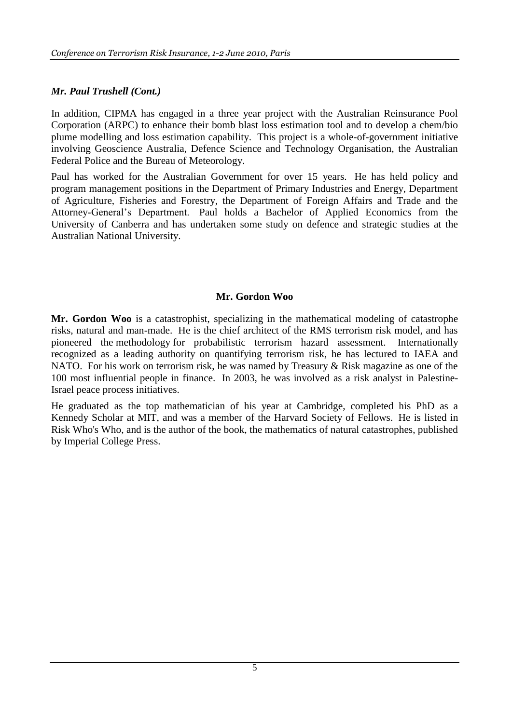#### *Mr. Paul Trushell (Cont.)*

In addition, CIPMA has engaged in a three year project with the Australian Reinsurance Pool Corporation (ARPC) to enhance their bomb blast loss estimation tool and to develop a chem/bio plume modelling and loss estimation capability. This project is a whole-of-government initiative involving Geoscience Australia, Defence Science and Technology Organisation, the Australian Federal Police and the Bureau of Meteorology.

Paul has worked for the Australian Government for over 15 years. He has held policy and program management positions in the Department of Primary Industries and Energy, Department of Agriculture, Fisheries and Forestry, the Department of Foreign Affairs and Trade and the Attorney-General"s Department. Paul holds a Bachelor of Applied Economics from the University of Canberra and has undertaken some study on defence and strategic studies at the Australian National University.

#### **Mr. Gordon Woo**

**Mr. Gordon Woo** is a catastrophist, specializing in the mathematical modeling of catastrophe risks, natural and man-made. He is the chief architect of the RMS terrorism risk model, and has pioneered the methodology for probabilistic terrorism hazard assessment. Internationally recognized as a leading authority on quantifying terrorism risk, he has lectured to IAEA and NATO. For his work on terrorism risk, he was named by Treasury  $\&$  Risk magazine as one of the 100 most influential people in finance. In 2003, he was involved as a risk analyst in Palestine-Israel peace process initiatives.

He graduated as the top mathematician of his year at Cambridge, completed his PhD as a Kennedy Scholar at MIT, and was a member of the Harvard Society of Fellows. He is listed in Risk Who's Who, and is the author of the book, the mathematics of natural catastrophes, published by Imperial College Press.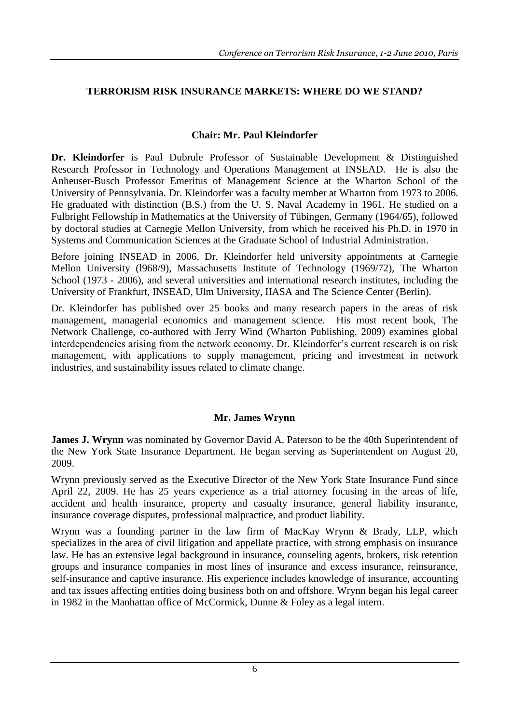# **TERRORISM RISK INSURANCE MARKETS: WHERE DO WE STAND?**

### **Chair: Mr. Paul Kleindorfer**

**Dr. Kleindorfer** is Paul Dubrule Professor of Sustainable Development & Distinguished Research Professor in Technology and Operations Management at INSEAD. He is also the Anheuser-Busch Professor Emeritus of Management Science at the Wharton School of the University of Pennsylvania. Dr. Kleindorfer was a faculty member at Wharton from 1973 to 2006. He graduated with distinction (B.S.) from the U. S. Naval Academy in 1961. He studied on a Fulbright Fellowship in Mathematics at the University of Tübingen, Germany (1964/65), followed by doctoral studies at Carnegie Mellon University, from which he received his Ph.D. in 1970 in Systems and Communication Sciences at the Graduate School of Industrial Administration.

Before joining INSEAD in 2006, Dr. Kleindorfer held university appointments at Carnegie Mellon University (l968/9), Massachusetts Institute of Technology (1969/72), The Wharton School (1973 - 2006), and several universities and international research institutes, including the University of Frankfurt, INSEAD, Ulm University, IIASA and The Science Center (Berlin).

Dr. Kleindorfer has published over 25 books and many research papers in the areas of risk management, managerial economics and management science. His most recent book, The Network Challenge, co-authored with Jerry Wind (Wharton Publishing, 2009) examines global interdependencies arising from the network economy. Dr. Kleindorfer"s current research is on risk management, with applications to supply management, pricing and investment in network industries, and sustainability issues related to climate change.

### **Mr. James Wrynn**

**James J. Wrynn** was nominated by Governor David A. Paterson to be the 40th Superintendent of the New York State Insurance Department. He began serving as Superintendent on August 20, 2009.

Wrynn previously served as the Executive Director of the New York State Insurance Fund since April 22, 2009. He has 25 years experience as a trial attorney focusing in the areas of life, accident and health insurance, property and casualty insurance, general liability insurance, insurance coverage disputes, professional malpractice, and product liability.

Wrynn was a founding partner in the law firm of MacKay Wrynn & Brady, LLP, which specializes in the area of civil litigation and appellate practice, with strong emphasis on insurance law. He has an extensive legal background in insurance, counseling agents, brokers, risk retention groups and insurance companies in most lines of insurance and excess insurance, reinsurance, self-insurance and captive insurance. His experience includes knowledge of insurance, accounting and tax issues affecting entities doing business both on and offshore. Wrynn began his legal career in 1982 in the Manhattan office of McCormick, Dunne & Foley as a legal intern.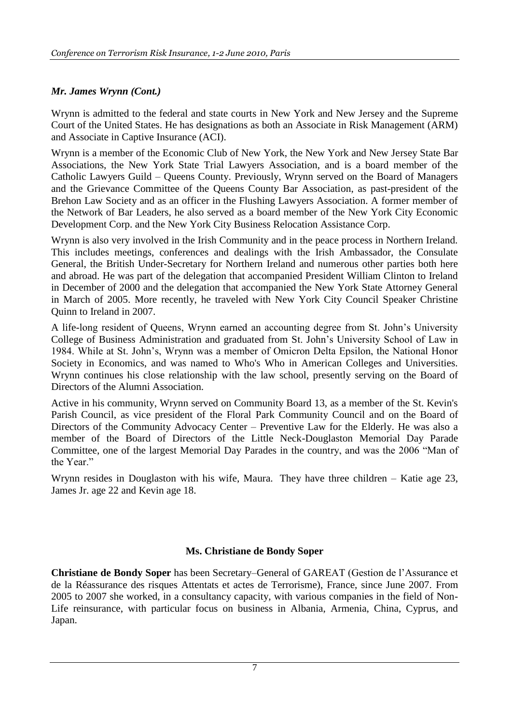# *Mr. James Wrynn (Cont.)*

Wrynn is admitted to the federal and state courts in New York and New Jersey and the Supreme Court of the United States. He has designations as both an Associate in Risk Management (ARM) and Associate in Captive Insurance (ACI).

Wrynn is a member of the Economic Club of New York, the New York and New Jersey State Bar Associations, the New York State Trial Lawyers Association, and is a board member of the Catholic Lawyers Guild – Queens County. Previously, Wrynn served on the Board of Managers and the Grievance Committee of the Queens County Bar Association, as past-president of the Brehon Law Society and as an officer in the Flushing Lawyers Association. A former member of the Network of Bar Leaders, he also served as a board member of the New York City Economic Development Corp. and the New York City Business Relocation Assistance Corp.

Wrynn is also very involved in the Irish Community and in the peace process in Northern Ireland. This includes meetings, conferences and dealings with the Irish Ambassador, the Consulate General, the British Under-Secretary for Northern Ireland and numerous other parties both here and abroad. He was part of the delegation that accompanied President William Clinton to Ireland in December of 2000 and the delegation that accompanied the New York State Attorney General in March of 2005. More recently, he traveled with New York City Council Speaker Christine Quinn to Ireland in 2007.

A life-long resident of Queens, Wrynn earned an accounting degree from St. John"s University College of Business Administration and graduated from St. John"s University School of Law in 1984. While at St. John"s, Wrynn was a member of Omicron Delta Epsilon, the National Honor Society in Economics, and was named to Who's Who in American Colleges and Universities. Wrynn continues his close relationship with the law school, presently serving on the Board of Directors of the Alumni Association.

Active in his community, Wrynn served on Community Board 13, as a member of the St. Kevin's Parish Council, as vice president of the Floral Park Community Council and on the Board of Directors of the Community Advocacy Center – Preventive Law for the Elderly. He was also a member of the Board of Directors of the Little Neck-Douglaston Memorial Day Parade Committee, one of the largest Memorial Day Parades in the country, and was the 2006 "Man of the Year."

Wrynn resides in Douglaston with his wife, Maura. They have three children – Katie age 23, James Jr. age 22 and Kevin age 18.

### **Ms. Christiane de Bondy Soper**

**Christiane de Bondy Soper** has been Secretary–General of GAREAT (Gestion de l"Assurance et de la Réassurance des risques Attentats et actes de Terrorisme), France, since June 2007. From 2005 to 2007 she worked, in a consultancy capacity, with various companies in the field of Non-Life reinsurance, with particular focus on business in Albania, Armenia, China, Cyprus, and Japan.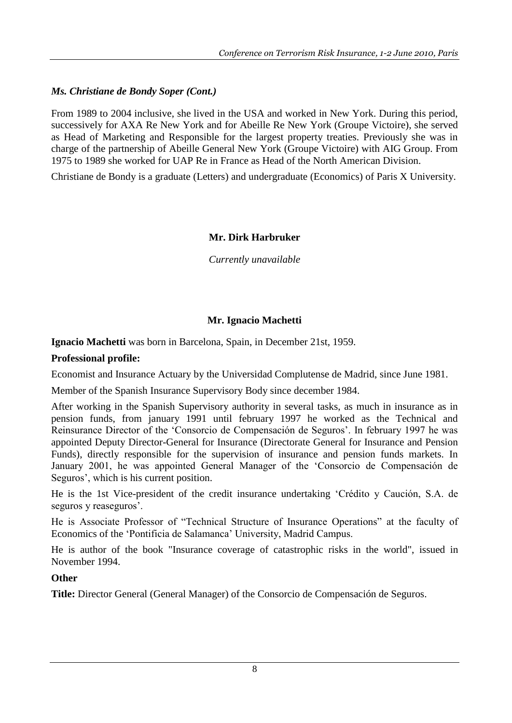#### *Ms. Christiane de Bondy Soper (Cont.)*

From 1989 to 2004 inclusive, she lived in the USA and worked in New York. During this period, successively for AXA Re New York and for Abeille Re New York (Groupe Victoire), she served as Head of Marketing and Responsible for the largest property treaties. Previously she was in charge of the partnership of Abeille General New York (Groupe Victoire) with AIG Group. From 1975 to 1989 she worked for UAP Re in France as Head of the North American Division.

Christiane de Bondy is a graduate (Letters) and undergraduate (Economics) of Paris X University.

#### **Mr. Dirk Harbruker**

*Currently unavailable*

#### **Mr. Ignacio Machetti**

**Ignacio Machetti** was born in Barcelona, Spain, in December 21st, 1959.

#### **Professional profile:**

Economist and Insurance Actuary by the Universidad Complutense de Madrid, since June 1981.

Member of the Spanish Insurance Supervisory Body since december 1984.

After working in the Spanish Supervisory authority in several tasks, as much in insurance as in pension funds, from january 1991 until february 1997 he worked as the Technical and Reinsurance Director of the "Consorcio de Compensación de Seguros". In february 1997 he was appointed Deputy Director-General for Insurance (Directorate General for Insurance and Pension Funds), directly responsible for the supervision of insurance and pension funds markets. In January 2001, he was appointed General Manager of the "Consorcio de Compensación de Seguros', which is his current position.

He is the 1st Vice-president of the credit insurance undertaking "Crédito y Caución, S.A. de seguros y reaseguros'.

He is Associate Professor of "Technical Structure of Insurance Operations" at the faculty of Economics of the "Pontificia de Salamanca" University, Madrid Campus.

He is author of the book "Insurance coverage of catastrophic risks in the world", issued in November 1994.

#### **Other**

**Title:** Director General (General Manager) of the Consorcio de Compensación de Seguros.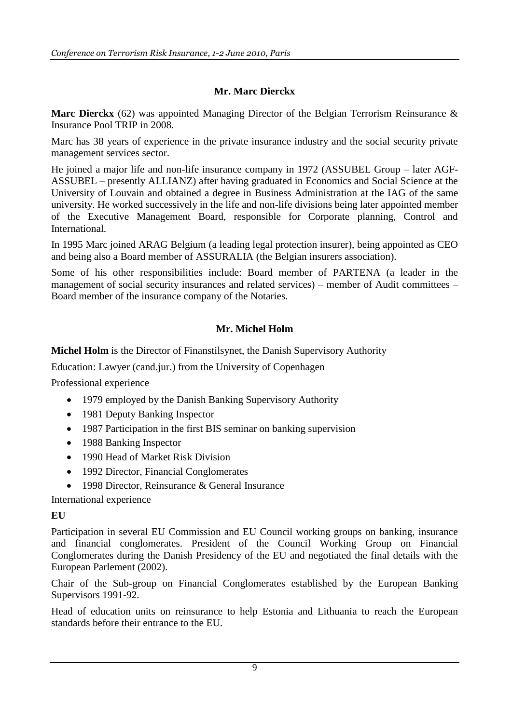# **Mr. Marc Dierckx**

**Marc Dierckx** (62) was appointed Managing Director of the Belgian Terrorism Reinsurance & Insurance Pool TRIP in 2008.

Marc has 38 years of experience in the private insurance industry and the social security private management services sector.

He joined a major life and non-life insurance company in 1972 (ASSUBEL Group – later AGF-ASSUBEL – presently ALLIANZ) after having graduated in Economics and Social Science at the University of Louvain and obtained a degree in Business Administration at the IAG of the same university. He worked successively in the life and non-life divisions being later appointed member of the Executive Management Board, responsible for Corporate planning, Control and International.

In 1995 Marc joined ARAG Belgium (a leading legal protection insurer), being appointed as CEO and being also a Board member of ASSURALIA (the Belgian insurers association).

Some of his other responsibilities include: Board member of PARTENA (a leader in the management of social security insurances and related services) – member of Audit committees – Board member of the insurance company of the Notaries.

# **Mr. Michel Holm**

**Michel Holm** is the Director of Finanstilsynet, the Danish Supervisory Authority

Education: Lawyer (cand.jur.) from the University of Copenhagen

Professional experience

- 1979 employed by the Danish Banking Supervisory Authority
- 1981 Deputy Banking Inspector
- 1987 Participation in the first BIS seminar on banking supervision
- 1988 Banking Inspector
- 1990 Head of Market Risk Division
- 1992 Director, Financial Conglomerates
- 1998 Director, Reinsurance & General Insurance

International experience

### **EU**

Participation in several EU Commission and EU Council working groups on banking, insurance and financial conglomerates. President of the Council Working Group on Financial Conglomerates during the Danish Presidency of the EU and negotiated the final details with the European Parlement (2002).

Chair of the Sub-group on Financial Conglomerates established by the European Banking Supervisors 1991-92.

Head of education units on reinsurance to help Estonia and Lithuania to reach the European standards before their entrance to the EU.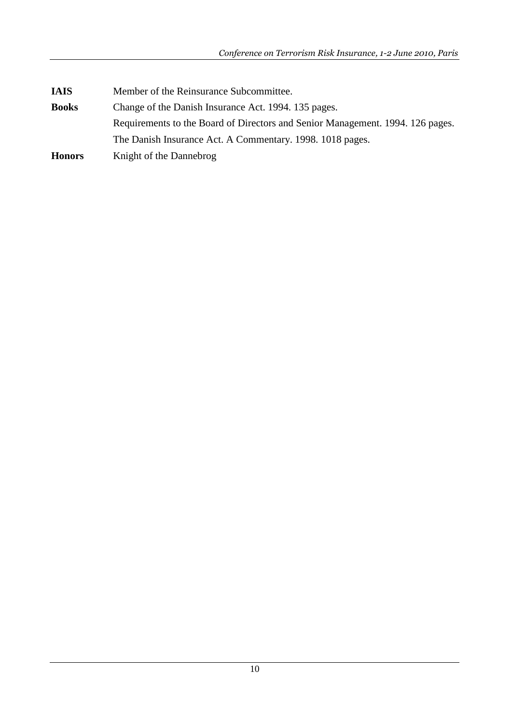| <b>IAIS</b>   | Member of the Reinsurance Subcommittee.                                        |
|---------------|--------------------------------------------------------------------------------|
| <b>Books</b>  | Change of the Danish Insurance Act. 1994. 135 pages.                           |
|               | Requirements to the Board of Directors and Senior Management. 1994. 126 pages. |
|               | The Danish Insurance Act. A Commentary. 1998. 1018 pages.                      |
| <b>Honors</b> | Knight of the Dannebrog                                                        |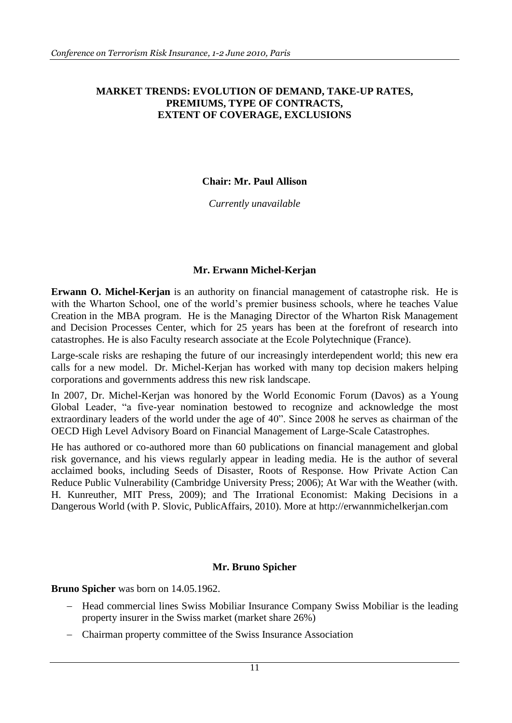#### **MARKET TRENDS: EVOLUTION OF DEMAND, TAKE-UP RATES, PREMIUMS, TYPE OF CONTRACTS, EXTENT OF COVERAGE, EXCLUSIONS**

#### **Chair: Mr. Paul Allison**

*Currently unavailable*

### **Mr. Erwann Michel-Kerjan**

**Erwann O. Michel-Kerjan** is an authority on financial management of catastrophe risk. He is with the Wharton School, one of the world's premier business schools, where he teaches Value Creation in the MBA program. He is the Managing Director of the Wharton Risk Management and Decision Processes Center, which for 25 years has been at the forefront of research into catastrophes. He is also Faculty research associate at the Ecole Polytechnique (France).

Large-scale risks are reshaping the future of our increasingly interdependent world; this new era calls for a new model. Dr. Michel-Kerjan has worked with many top decision makers helping corporations and governments address this new risk landscape.

In 2007, Dr. Michel-Kerjan was honored by the World Economic Forum (Davos) as a Young Global Leader, "a five-year nomination bestowed to recognize and acknowledge the most extraordinary leaders of the world under the age of 40". Since 2008 he serves as chairman of the OECD High Level Advisory Board on Financial Management of Large-Scale Catastrophes.

He has authored or co-authored more than 60 publications on financial management and global risk governance, and his views regularly appear in leading media. He is the author of several acclaimed books, including Seeds of Disaster, Roots of Response. How Private Action Can Reduce Public Vulnerability (Cambridge University Press; 2006); At War with the Weather (with. H. Kunreuther, MIT Press, 2009); and The Irrational Economist: Making Decisions in a Dangerous World (with P. Slovic, PublicAffairs, 2010). More at [http://erwannmichelkerjan.com](http://erwannmichelkerjan.com/)

### **Mr. Bruno Spicher**

**Bruno Spicher** was born on 14.05.1962.

- Head commercial lines Swiss Mobiliar Insurance Company Swiss Mobiliar is the leading property insurer in the Swiss market (market share 26%)
- Chairman property committee of the Swiss Insurance Association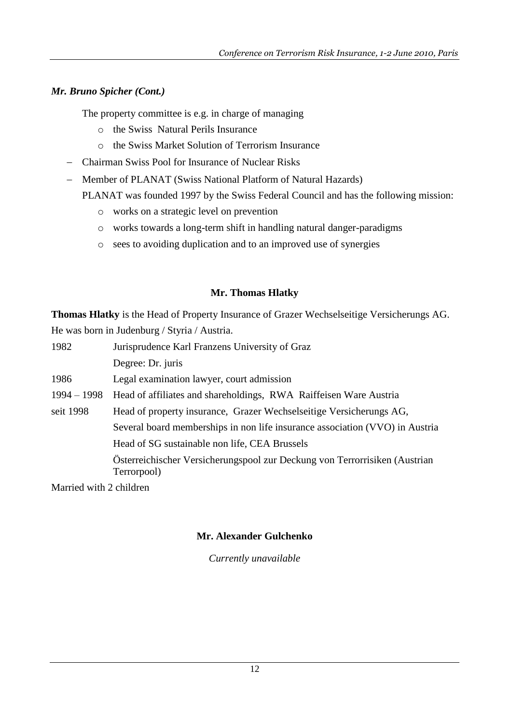# *Mr. Bruno Spicher (Cont.)*

The property committee is e.g. in charge of managing

- o the Swiss Natural Perils Insurance
- o the Swiss Market Solution of Terrorism Insurance
- Chairman Swiss Pool for Insurance of Nuclear Risks
- Member of PLANAT (Swiss National Platform of Natural Hazards)

PLANAT was founded 1997 by the Swiss Federal Council and has the following mission:

- o works on a strategic level on prevention
- o works towards a long-term shift in handling natural danger-paradigms
- o sees to avoiding duplication and to an improved use of synergies

### **Mr. Thomas Hlatky**

**Thomas Hlatky** is the Head of Property Insurance of Grazer Wechselseitige Versicherungs AG. He was born in Judenburg / Styria / Austria.

| 1982                    | Jurisprudence Karl Franzens University of Graz                                            |
|-------------------------|-------------------------------------------------------------------------------------------|
|                         | Degree: Dr. juris                                                                         |
| 1986                    | Legal examination lawyer, court admission                                                 |
| $1994 - 1998$           | Head of affiliates and shareholdings, RWA Raiffeisen Ware Austria                         |
| seit 1998               | Head of property insurance, Grazer Wechselseitige Versicherungs AG,                       |
|                         | Several board memberships in non life insurance association (VVO) in Austria              |
|                         | Head of SG sustainable non life, CEA Brussels                                             |
|                         | Österreichischer Versicherungspool zur Deckung von Terrorrisiken (Austrian<br>Terrorpool) |
| Morried with 2 children |                                                                                           |

Married with 2 children

# **Mr. Alexander Gulchenko**

*Currently unavailable*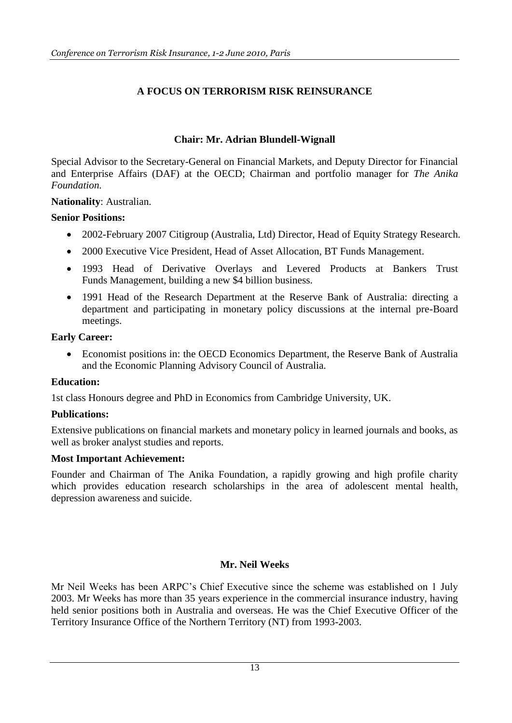# **A FOCUS ON TERRORISM RISK REINSURANCE**

### **Chair: Mr. Adrian Blundell-Wignall**

Special Advisor to the Secretary-General on Financial Markets, and Deputy Director for Financial and Enterprise Affairs (DAF) at the OECD; Chairman and portfolio manager for *The Anika Foundation.*

**Nationality**: Australian.

#### **Senior Positions:**

- 2002-February 2007 Citigroup (Australia, Ltd) Director, Head of Equity Strategy Research.
- 2000 Executive Vice President, Head of Asset Allocation, BT Funds Management.
- 1993 Head of Derivative Overlays and Levered Products at Bankers Trust Funds Management, building a new \$4 billion business.
- 1991 Head of the Research Department at the Reserve Bank of Australia: directing a department and participating in monetary policy discussions at the internal pre-Board meetings.

#### **Early Career:**

 Economist positions in: the OECD Economics Department, the Reserve Bank of Australia and the Economic Planning Advisory Council of Australia.

### **Education:**

1st class Honours degree and PhD in Economics from Cambridge University, UK.

### **Publications:**

Extensive publications on financial markets and monetary policy in learned journals and books, as well as broker analyst studies and reports.

#### **Most Important Achievement:**

Founder and Chairman of The Anika Foundation, a rapidly growing and high profile charity which provides education research scholarships in the area of adolescent mental health, depression awareness and suicide.

### **Mr. Neil Weeks**

Mr Neil Weeks has been ARPC"s Chief Executive since the scheme was established on 1 July 2003. Mr Weeks has more than 35 years experience in the commercial insurance industry, having held senior positions both in Australia and overseas. He was the Chief Executive Officer of the Territory Insurance Office of the Northern Territory (NT) from 1993-2003.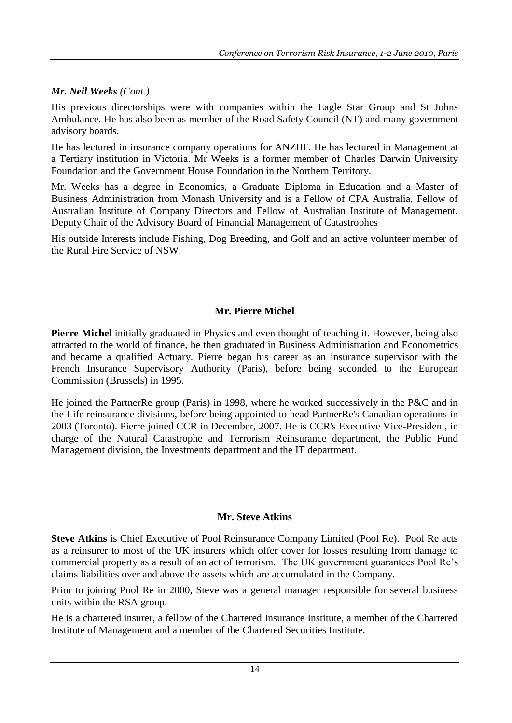### *Mr. Neil Weeks (Cont.)*

His previous directorships were with companies within the Eagle Star Group and St Johns Ambulance. He has also been as member of the Road Safety Council (NT) and many government advisory boards.

He has lectured in insurance company operations for ANZIIF. He has lectured in Management at a Tertiary institution in Victoria. Mr Weeks is a former member of Charles Darwin University Foundation and the Government House Foundation in the Northern Territory.

Mr. Weeks has a degree in Economics, a Graduate Diploma in Education and a Master of Business Administration from Monash University and is a Fellow of CPA Australia, Fellow of Australian Institute of Company Directors and Fellow of Australian Institute of Management. Deputy Chair of the Advisory Board of Financial Management of Catastrophes

His outside Interests include Fishing, Dog Breeding, and Golf and an active volunteer member of the Rural Fire Service of NSW.

### **Mr. Pierre Michel**

**Pierre Michel** initially graduated in Physics and even thought of teaching it. However, being also attracted to the world of finance, he then graduated in Business Administration and Econometrics and became a qualified Actuary. Pierre began his career as an insurance supervisor with the French Insurance Supervisory Authority (Paris), before being seconded to the European Commission (Brussels) in 1995.

He joined the PartnerRe group (Paris) in 1998, where he worked successively in the P&C and in the Life reinsurance divisions, before being appointed to head PartnerRe's Canadian operations in 2003 (Toronto). Pierre joined CCR in December, 2007. He is CCR's Executive Vice-President, in charge of the Natural Catastrophe and Terrorism Reinsurance department, the Public Fund Management division, the Investments department and the IT department.

#### **Mr. Steve Atkins**

**Steve Atkins** is Chief Executive of Pool Reinsurance Company Limited (Pool Re). Pool Re acts as a reinsurer to most of the UK insurers which offer cover for losses resulting from damage to commercial property as a result of an act of terrorism. The UK government guarantees Pool Re"s claims liabilities over and above the assets which are accumulated in the Company.

Prior to joining Pool Re in 2000, Steve was a general manager responsible for several business units within the RSA group.

He is a chartered insurer, a fellow of the Chartered Insurance Institute, a member of the Chartered Institute of Management and a member of the Chartered Securities Institute.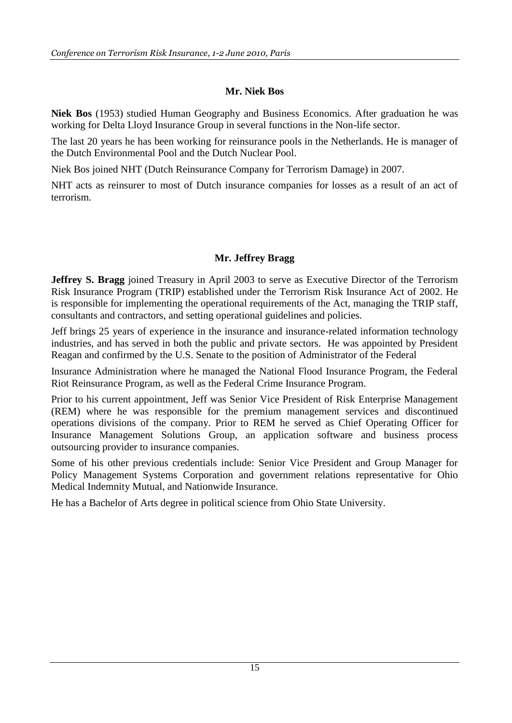### **Mr. Niek Bos**

**Niek Bos** (1953) studied Human Geography and Business Economics. After graduation he was working for Delta Lloyd Insurance Group in several functions in the Non-life sector.

The last 20 years he has been working for reinsurance pools in the Netherlands. He is manager of the Dutch Environmental Pool and the Dutch Nuclear Pool.

Niek Bos joined NHT (Dutch Reinsurance Company for Terrorism Damage) in 2007.

NHT acts as reinsurer to most of Dutch insurance companies for losses as a result of an act of terrorism.

# **Mr. Jeffrey Bragg**

**Jeffrey S. Bragg** joined Treasury in April 2003 to serve as Executive Director of the Terrorism Risk Insurance Program (TRIP) established under the Terrorism Risk Insurance Act of 2002. He is responsible for implementing the operational requirements of the Act, managing the TRIP staff, consultants and contractors, and setting operational guidelines and policies.

Jeff brings 25 years of experience in the insurance and insurance-related information technology industries, and has served in both the public and private sectors. He was appointed by President Reagan and confirmed by the U.S. Senate to the position of Administrator of the Federal

Insurance Administration where he managed the National Flood Insurance Program, the Federal Riot Reinsurance Program, as well as the Federal Crime Insurance Program.

Prior to his current appointment, Jeff was Senior Vice President of Risk Enterprise Management (REM) where he was responsible for the premium management services and discontinued operations divisions of the company. Prior to REM he served as Chief Operating Officer for Insurance Management Solutions Group, an application software and business process outsourcing provider to insurance companies.

Some of his other previous credentials include: Senior Vice President and Group Manager for Policy Management Systems Corporation and government relations representative for Ohio Medical Indemnity Mutual, and Nationwide Insurance.

He has a Bachelor of Arts degree in political science from Ohio State University.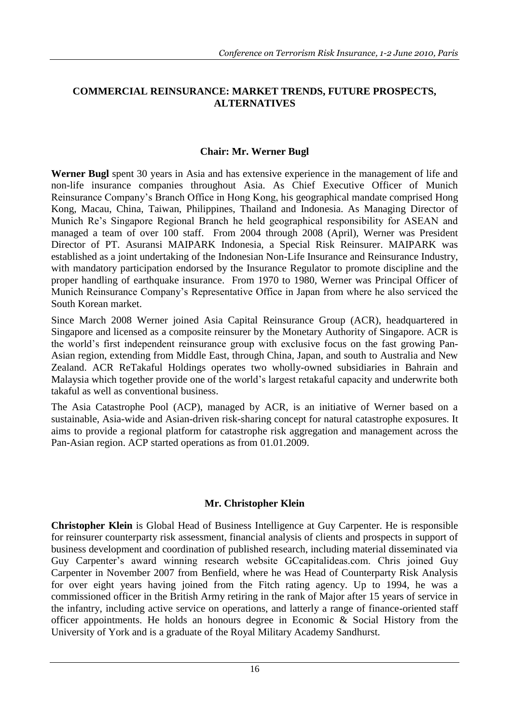### **COMMERCIAL REINSURANCE: MARKET TRENDS, FUTURE PROSPECTS, ALTERNATIVES**

### **Chair: Mr. Werner Bugl**

**Werner Bugl** spent 30 years in Asia and has extensive experience in the management of life and non-life insurance companies throughout Asia. As Chief Executive Officer of Munich Reinsurance Company"s Branch Office in Hong Kong, his geographical mandate comprised Hong Kong, Macau, China, Taiwan, Philippines, Thailand and Indonesia. As Managing Director of Munich Re"s Singapore Regional Branch he held geographical responsibility for ASEAN and managed a team of over 100 staff. From 2004 through 2008 (April), Werner was President Director of PT. Asuransi MAIPARK Indonesia, a Special Risk Reinsurer. MAIPARK was established as a joint undertaking of the Indonesian Non-Life Insurance and Reinsurance Industry, with mandatory participation endorsed by the Insurance Regulator to promote discipline and the proper handling of earthquake insurance. From 1970 to 1980, Werner was Principal Officer of Munich Reinsurance Company"s Representative Office in Japan from where he also serviced the South Korean market.

Since March 2008 Werner joined Asia Capital Reinsurance Group (ACR), headquartered in Singapore and licensed as a composite reinsurer by the Monetary Authority of Singapore. ACR is the world"s first independent reinsurance group with exclusive focus on the fast growing Pan-Asian region, extending from Middle East, through China, Japan, and south to Australia and New Zealand. ACR ReTakaful Holdings operates two wholly-owned subsidiaries in Bahrain and Malaysia which together provide one of the world"s largest retakaful capacity and underwrite both takaful as well as conventional business.

The Asia Catastrophe Pool (ACP), managed by ACR, is an initiative of Werner based on a sustainable, Asia-wide and Asian-driven risk-sharing concept for natural catastrophe exposures. It aims to provide a regional platform for catastrophe risk aggregation and management across the Pan-Asian region. ACP started operations as from 01.01.2009.

### **Mr. Christopher Klein**

**Christopher Klein** is Global Head of Business Intelligence at Guy Carpenter. He is responsible for reinsurer counterparty risk assessment, financial analysis of clients and prospects in support of business development and coordination of published research, including material disseminated via Guy Carpenter"s award winning research website GCcapitalideas.com. Chris joined Guy Carpenter in November 2007 from Benfield, where he was Head of Counterparty Risk Analysis for over eight years having joined from the Fitch rating agency. Up to 1994, he was a commissioned officer in the British Army retiring in the rank of Major after 15 years of service in the infantry, including active service on operations, and latterly a range of finance-oriented staff officer appointments. He holds an honours degree in Economic & Social History from the University of York and is a graduate of the Royal Military Academy Sandhurst.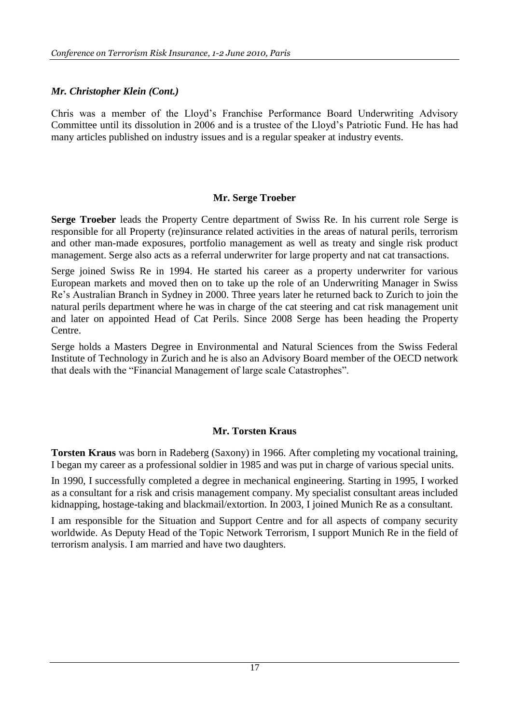### *Mr. Christopher Klein (Cont.)*

Chris was a member of the Lloyd"s Franchise Performance Board Underwriting Advisory Committee until its dissolution in 2006 and is a trustee of the Lloyd"s Patriotic Fund. He has had many articles published on industry issues and is a regular speaker at industry events.

### **Mr. Serge Troeber**

**Serge Troeber** leads the Property Centre department of Swiss Re. In his current role Serge is responsible for all Property (re)insurance related activities in the areas of natural perils, terrorism and other man-made exposures, portfolio management as well as treaty and single risk product management. Serge also acts as a referral underwriter for large property and nat cat transactions.

Serge joined Swiss Re in 1994. He started his career as a property underwriter for various European markets and moved then on to take up the role of an Underwriting Manager in Swiss Re"s Australian Branch in Sydney in 2000. Three years later he returned back to Zurich to join the natural perils department where he was in charge of the cat steering and cat risk management unit and later on appointed Head of Cat Perils. Since 2008 Serge has been heading the Property Centre.

Serge holds a Masters Degree in Environmental and Natural Sciences from the Swiss Federal Institute of Technology in Zurich and he is also an Advisory Board member of the OECD network that deals with the "Financial Management of large scale Catastrophes".

### **Mr. Torsten Kraus**

**Torsten Kraus** was born in Radeberg (Saxony) in 1966. After completing my vocational training, I began my career as a professional soldier in 1985 and was put in charge of various special units.

In 1990, I successfully completed a degree in mechanical engineering. Starting in 1995, I worked as a consultant for a risk and crisis management company. My specialist consultant areas included kidnapping, hostage-taking and blackmail/extortion. In 2003, I joined Munich Re as a consultant.

I am responsible for the Situation and Support Centre and for all aspects of company security worldwide. As Deputy Head of the Topic Network Terrorism, I support Munich Re in the field of terrorism analysis. I am married and have two daughters.